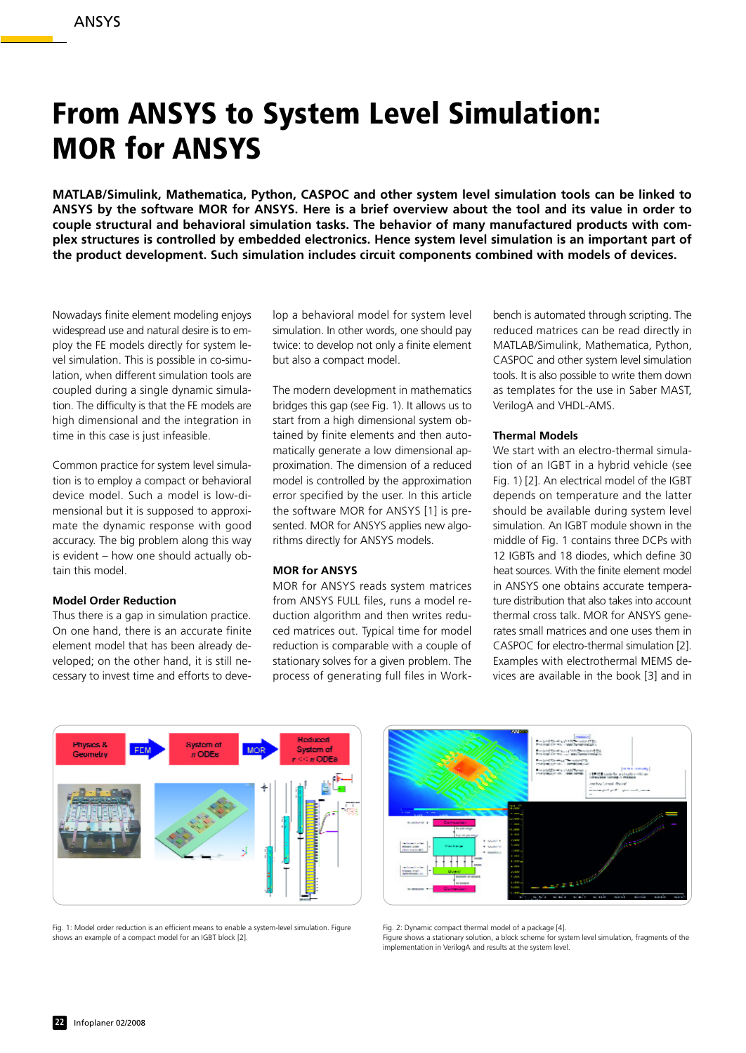# **From ANSYS to System Level Simulation: MOR for ANSYS**

**MATLAB/Simulink, Mathematica, Python, CASPOC and other system level simulation tools can be linked to ANSYS by the software MOR for ANSYS. Here is a brief overview about the tool and its value in order to couple structural and behavioral simulation tasks. The behavior of many manufactured products with complex structures is controlled by embedded electronics. Hence system level simulation is an important part of the product development. Such simulation includes circuit components combined with models of devices.**

Nowadays finite element modeling enjoys widespread use and natural desire is to employ the FE models directly for system level simulation. This is possible in co-simulation, when different simulation tools are coupled during a single dynamic simulation. The difficulty is that the FE models are high dimensional and the integration in time in this case is just infeasible.

Common practice for system level simulation is to employ a compact or behavioral device model. Such a model is low-dimensional but it is supposed to approximate the dynamic response with good accuracy. The big problem along this way is evident – how one should actually obtain this model.

### **Model Order Reduction**

Thus there is a gap in simulation practice. On one hand, there is an accurate finite element model that has been already developed; on the other hand, it is still necessary to invest time and efforts to deve-

lop a behavioral model for system level simulation. In other words, one should pay twice: to develop not only a finite element but also a compact model.

The modern development in mathematics bridges this gap (see Fig. 1). It allows us to start from a high dimensional system obtained by finite elements and then automatically generate a low dimensional approximation. The dimension of a reduced model is controlled by the approximation error specified by the user. In this article the software MOR for ANSYS [1] is presented. MOR for ANSYS applies new algorithms directly for ANSYS models.

#### **MOR for ANSYS**

MOR for ANSYS reads system matrices from ANSYS FULL files, runs a model reduction algorithm and then writes reduced matrices out. Typical time for model reduction is comparable with a couple of stationary solves for a given problem. The process of generating full files in Workbench is automated through scripting. The reduced matrices can be read directly in MATLAB/Simulink, Mathematica, Python, CASPOC and other system level simulation tools. It is also possible to write them down as templates for the use in Saber MAST, VerilogA and VHDL-AMS.

#### **Thermal Models**

We start with an electro-thermal simulation of an IGBT in a hybrid vehicle (see Fig. 1) [2]. An electrical model of the IGBT depends on temperature and the latter should be available during system level simulation. An IGBT module shown in the middle of Fig. 1 contains three DCPs with 12 IGBTs and 18 diodes, which define 30 heat sources. With the finite element model in ANSYS one obtains accurate temperature distribution that also takes into account thermal cross talk. MOR for ANSYS generates small matrices and one uses them in CASPOC for electro-thermal simulation [2]. Examples with electrothermal MEMS devices are available in the book [3] and in



Fig. 1: Model order reduction is an efficient means to enable a system-level simulation. Figure shows an example of a compact model for an IGBT block [2].



Fig. 2: Dynamic compact thermal model of a package [4].

Figure shows a stationary solution, a block scheme for system level simulation, fragments of the implementation in VerilogA and results at the system level.